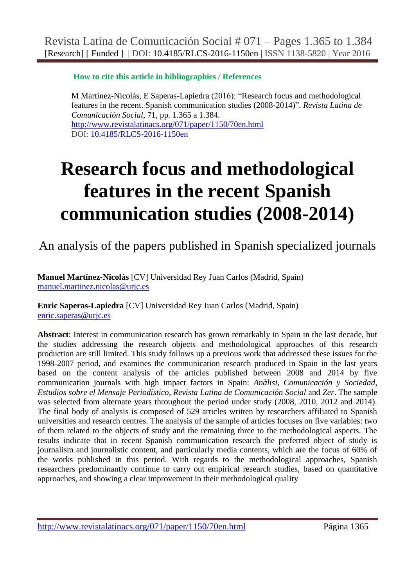**How to cite this article in bibliographies / References**

M Martínez-Nicolás, E Saperas-Lapiedra (2016): "Research focus and methodological features in the recent. Spanish communication studies (2008-2014)". *Revista Latina de Comunicación Social*, 71, pp. 1.365 a 1.384. <http://www.revistalatinacs.org/071/paper/1150/70en.html> DOI: [10.4185/RLCS-2016-1150en](http://dx.doi.org/10.4185/RLCS-2016-1150en)

# **Research focus and methodological features in the recent Spanish communication studies (2008-2014)**

An analysis of the papers published in Spanish specialized journals

**Manuel Martínez-Nicolás** [CV] Universidad Rey Juan Carlos (Madrid, Spain) [manuel.martinez.nicolas@urjc.es](file:///E:/local_sites/Revista%20Latina/almacen-1150/manuel.martinez.nicolas@urjc.es)

**Enric Saperas-Lapiedra** [CV] Universidad Rey Juan Carlos (Madrid, Spain) [enric.saperas@urjc.es](file:///E:/local_sites/Revista%20Latina/almacen-1150/enric.saperas@urjc.es)

**Abstract**: Interest in communication research has grown remarkably in Spain in the last decade, but the studies addressing the research objects and methodological approaches of this research production are still limited. This study follows up a previous work that addressed these issues for the 1998-2007 period, and examines the communication research produced in Spain in the last years based on the content analysis of the articles published between 2008 and 2014 by five communication journals with high impact factors in Spain: *Anàlisi*, *Comunicación y Sociedad*, *Estudios sobre el Mensaje Periodístico*, *Revista Latina de Comunicación Social* and *Zer*. The sample was selected from alternate years throughout the period under study (2008, 2010, 2012 and 2014). The final body of analysis is composed of 529 articles written by researchers affiliated to Spanish universities and research centres. The analysis of the sample of articles focuses on five variables: two of them related to the objects of study and the remaining three to the methodological aspects. The results indicate that in recent Spanish communication research the preferred object of study is journalism and journalistic content, and particularly media contents, which are the focus of 60% of the works published in this period. With regards to the methodological approaches, Spanish researchers predominantly continue to carry out empirical research studies, based on quantitative approaches, and showing a clear improvement in their methodological quality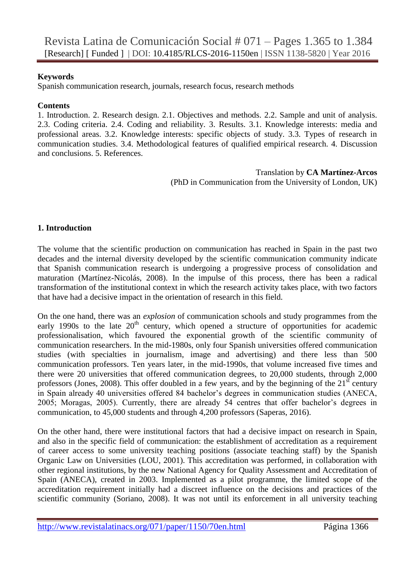#### **Keywords**

Spanish communication research, journals, research focus, research methods

#### **Contents**

1. Introduction. 2. Research design. 2.1. Objectives and methods. 2.2. Sample and unit of analysis. 2.3. Coding criteria. 2.4. Coding and reliability. 3. Results. 3.1. Knowledge interests: media and professional areas. 3.2. Knowledge interests: specific objects of study. 3.3. Types of research in communication studies. 3.4. Methodological features of qualified empirical research. 4. Discussion and conclusions. 5. References.

#### Translation by **CA Martínez-Arcos** (PhD in Communication from the University of London, UK)

#### **1. Introduction**

The volume that the scientific production on communication has reached in Spain in the past two decades and the internal diversity developed by the scientific communication community indicate that Spanish communication research is undergoing a progressive process of consolidation and maturation (Martínez-Nicolás, 2008). In the impulse of this process, there has been a radical transformation of the institutional context in which the research activity takes place, with two factors that have had a decisive impact in the orientation of research in this field.

On the one hand, there was an *explosion* of communication schools and study programmes from the early 1990s to the late  $20<sup>th</sup>$  century, which opened a structure of opportunities for academic professionalisation, which favoured the exponential growth of the scientific community of communication researchers. In the mid-1980s, only four Spanish universities offered communication studies (with specialties in journalism, image and advertising) and there less than 500 communication professors. Ten years later, in the mid-1990s, that volume increased five times and there were 20 universities that offered communication degrees, to 20,000 students, through 2,000 professors (Jones, 2008). This offer doubled in a few years, and by the beginning of the  $21<sup>st</sup>$  century in Spain already 40 universities offered 84 bachelor's degrees in communication studies (ANECA, 2005; Moragas, 2005). Currently, there are already 54 centres that offer bachelor's degrees in communication, to 45,000 students and through 4,200 professors (Saperas, 2016).

On the other hand, there were institutional factors that had a decisive impact on research in Spain, and also in the specific field of communication: the establishment of accreditation as a requirement of career access to some university teaching positions (associate teaching staff) by the Spanish Organic Law on Universities (LOU, 2001). This accreditation was performed, in collaboration with other regional institutions, by the new National Agency for Quality Assessment and Accreditation of Spain (ANECA), created in 2003. Implemented as a pilot programme, the limited scope of the accreditation requirement initially had a discreet influence on the decisions and practices of the scientific community (Soriano, 2008). It was not until its enforcement in all university teaching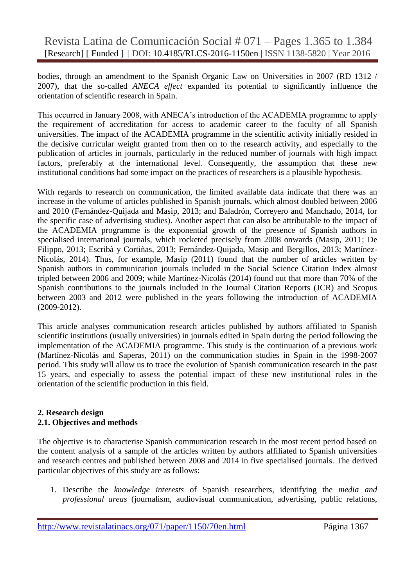Revista Latina de Comunicación Social # 071 – Pages 1.365 to 1.384 [Research] [ Funded ] | DOI: 10.4185/RLCS-2016-1150en | ISSN 1138-5820 | Year 2016

bodies, through an amendment to the Spanish Organic Law on Universities in 2007 (RD 1312 / 2007), that the so-called *ANECA effect* expanded its potential to significantly influence the orientation of scientific research in Spain.

This occurred in January 2008, with ANECA's introduction of the ACADEMIA programme to apply the requirement of accreditation for access to academic career to the faculty of all Spanish universities. The impact of the ACADEMIA programme in the scientific activity initially resided in the decisive curricular weight granted from then on to the research activity, and especially to the publication of articles in journals, particularly in the reduced number of journals with high impact factors, preferably at the international level. Consequently, the assumption that these new institutional conditions had some impact on the practices of researchers is a plausible hypothesis.

With regards to research on communication, the limited available data indicate that there was an increase in the volume of articles published in Spanish journals, which almost doubled between 2006 and 2010 (Fernández-Quijada and Masip, 2013; and Baladrón, Correyero and Manchado, 2014, for the specific case of advertising studies). Another aspect that can also be attributable to the impact of the ACADEMIA programme is the exponential growth of the presence of Spanish authors in specialised international journals, which rocketed precisely from 2008 onwards (Masip, 2011; De Filippo, 2013; Escribà y Cortiñas, 2013; Fernández-Quijada, Masip and Bergillos, 2013; Martínez-Nicolás, 2014). Thus, for example, Masip (2011) found that the number of articles written by Spanish authors in communication journals included in the Social Science Citation Index almost tripled between 2006 and 2009; while Martínez-Nicolás (2014) found out that more than 70% of the Spanish contributions to the journals included in the Journal Citation Reports (JCR) and Scopus between 2003 and 2012 were published in the years following the introduction of ACADEMIA (2009-2012).

This article analyses communication research articles published by authors affiliated to Spanish scientific institutions (usually universities) in journals edited in Spain during the period following the implementation of the ACADEMIA programme. This study is the continuation of a previous work (Martínez-Nicolás and Saperas, 2011) on the communication studies in Spain in the 1998-2007 period. This study will allow us to trace the evolution of Spanish communication research in the past 15 years, and especially to assess the potential impact of these new institutional rules in the orientation of the scientific production in this field.

#### **2. Research design 2.1. Objectives and methods**

The objective is to characterise Spanish communication research in the most recent period based on the content analysis of a sample of the articles written by authors affiliated to Spanish universities and research centres and published between 2008 and 2014 in five specialised journals. The derived particular objectives of this study are as follows:

1. Describe the *knowledge interests* of Spanish researchers, identifying the *media and professional areas* (journalism, audiovisual communication, advertising, public relations,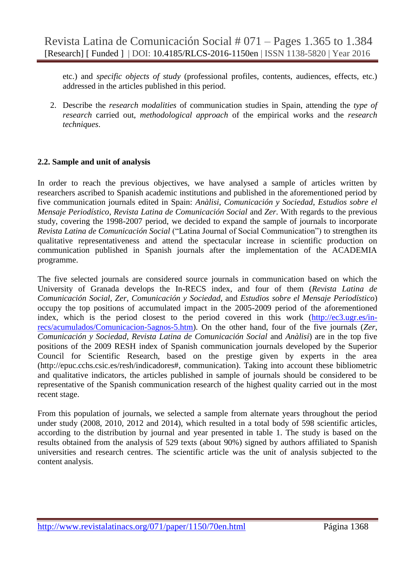etc.) and *specific objects of study* (professional profiles, contents, audiences, effects, etc.) addressed in the articles published in this period.

2. Describe the *research modalities* of communication studies in Spain, attending the *type of research* carried out, *methodological approach* of the empirical works and the *research techniques*.

#### **2.2. Sample and unit of analysis**

In order to reach the previous objectives, we have analysed a sample of articles written by researchers ascribed to Spanish academic institutions and published in the aforementioned period by five communication journals edited in Spain: *Anàlisi*, *Comunicación y Sociedad*, *Estudios sobre el Mensaje Periodístico*, *Revista Latina de Comunicación Social* and *Zer*. With regards to the previous study, covering the 1998-2007 period, we decided to expand the sample of journals to incorporate *Revista Latina de Comunicación Social* ("Latina Journal of Social Communication") to strengthen its qualitative representativeness and attend the spectacular increase in scientific production on communication published in Spanish journals after the implementation of the ACADEMIA programme.

The five selected journals are considered source journals in communication based on which the University of Granada develops the In-RECS index, and four of them (*Revista Latina de Comunicación Social*, *Zer*, *Comunicación y Sociedad*, and *Estudios sobre el Mensaje Periodístico*) occupy the top positions of accumulated impact in the 2005-2009 period of the aforementioned index, which is the period closest to the period covered in this work [\(http://ec3.ugr.es/in](http://ec3.ugr.es/in-recs/acumulados/Comunicacion-5agnos-5.htm)[recs/acumulados/Comunicacion-5agnos-5.htm\)](http://ec3.ugr.es/in-recs/acumulados/Comunicacion-5agnos-5.htm). On the other hand, four of the five journals (*Zer*, *Comunicación y Sociedad*, *Revista Latina de Comunicación Social* and *Anàlisi*) are in the top five positions of the 2009 RESH index of Spanish communication journals developed by the Superior Council for Scientific Research, based on the prestige given by experts in the area (http://epuc.cchs.csic.es/resh/indicadores#, communication). Taking into account these bibliometric and qualitative indicators, the articles published in sample of journals should be considered to be representative of the Spanish communication research of the highest quality carried out in the most recent stage.

From this population of journals, we selected a sample from alternate years throughout the period under study (2008, 2010, 2012 and 2014), which resulted in a total body of 598 scientific articles, according to the distribution by journal and year presented in table 1. The study is based on the results obtained from the analysis of 529 texts (about 90%) signed by authors affiliated to Spanish universities and research centres. The scientific article was the unit of analysis subjected to the content analysis.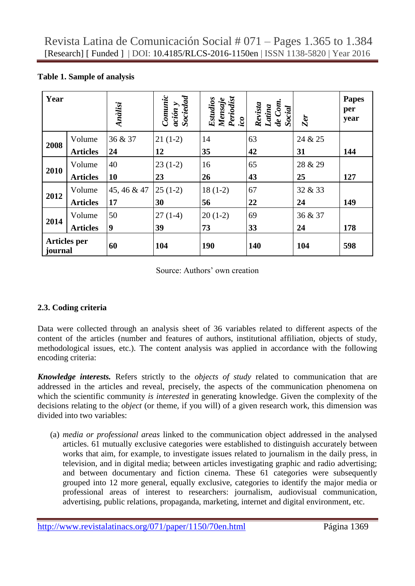|  |  | Table 1. Sample of analysis |  |  |  |
|--|--|-----------------------------|--|--|--|
|--|--|-----------------------------|--|--|--|

| Year    |                     | Anàlisi          | Comunic<br>ación y<br>Sociedad | Mensaje<br>Periodíst<br><u>ico</u><br>Estudios | Revista<br>Latina<br>de Com.<br>Social | Zer     | <b>Papes</b><br>per<br>year |
|---------|---------------------|------------------|--------------------------------|------------------------------------------------|----------------------------------------|---------|-----------------------------|
| 2008    | Volume              | 36 & 37          | $21(1-2)$                      | 14                                             | 63                                     | 24 & 25 |                             |
|         | <b>Articles</b>     | 24               | 12                             | 35                                             | 42                                     | 31      | 144                         |
| 2010    | Volume              | 40               | $23(1-2)$                      | 16                                             | 65                                     | 28 & 29 |                             |
|         | <b>Articles</b>     | <b>10</b>        | 23                             | 26                                             | 43                                     | 25      | 127                         |
| 2012    | Volume              | 45, 46 & 47      | $25(1-2)$                      | $18(1-2)$                                      | 67                                     | 32 & 33 |                             |
|         | <b>Articles</b>     | 17               | 30                             | 56                                             | 22                                     | 24      | 149                         |
|         | Volume              | 50               | $27(1-4)$                      | $20(1-2)$                                      | 69                                     | 36 & 37 |                             |
| 2014    | <b>Articles</b>     | $\boldsymbol{9}$ | 39                             | 73                                             | 33                                     | 24      | 178                         |
| journal | <b>Articles</b> per | 60               | 104                            | <b>190</b>                                     | 140                                    | 104     | 598                         |

Source: Authors' own creation

# **2.3. Coding criteria**

Data were collected through an analysis sheet of 36 variables related to different aspects of the content of the articles (number and features of authors, institutional affiliation, objects of study, methodological issues, etc.). The content analysis was applied in accordance with the following encoding criteria:

*Knowledge interests.* Refers strictly to the *objects of study* related to communication that are addressed in the articles and reveal, precisely, the aspects of the communication phenomena on which the scientific community *is interested* in generating knowledge. Given the complexity of the decisions relating to the *object* (or theme, if you will) of a given research work, this dimension was divided into two variables:

(a) *media or professional areas* linked to the communication object addressed in the analysed articles. 61 mutually exclusive categories were established to distinguish accurately between works that aim, for example, to investigate issues related to journalism in the daily press, in television, and in digital media; between articles investigating graphic and radio advertising; and between documentary and fiction cinema. These 61 categories were subsequently grouped into 12 more general, equally exclusive, categories to identify the major media or professional areas of interest to researchers: journalism, audiovisual communication, advertising, public relations, propaganda, marketing, internet and digital environment, etc.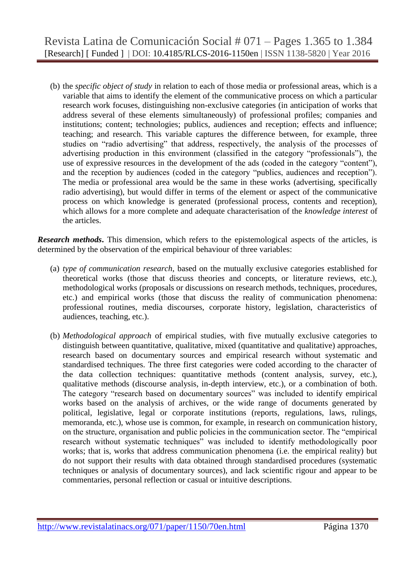(b) the *specific object of study* in relation to each of those media or professional areas, which is a variable that aims to identify the element of the communicative process on which a particular research work focuses, distinguishing non-exclusive categories (in anticipation of works that address several of these elements simultaneously) of professional profiles; companies and institutions; content; technologies; publics, audiences and reception; effects and influence; teaching; and research. This variable captures the difference between, for example, three studies on "radio advertising" that address, respectively, the analysis of the processes of advertising production in this environment (classified in the category "professionals"), the use of expressive resources in the development of the ads (coded in the category "content"), and the reception by audiences (coded in the category "publics, audiences and reception"). The media or professional area would be the same in these works (advertising, specifically radio advertising), but would differ in terms of the element or aspect of the communicative process on which knowledge is generated (professional process, contents and reception), which allows for a more complete and adequate characterisation of the *knowledge interest* of the articles.

**Research methods.** This dimension, which refers to the epistemological aspects of the articles, is determined by the observation of the empirical behaviour of three variables:

- (a) *type of communication research*, based on the mutually exclusive categories established for theoretical works (those that discuss theories and concepts, or literature reviews, etc.), methodological works (proposals or discussions on research methods, techniques, procedures, etc.) and empirical works (those that discuss the reality of communication phenomena: professional routines, media discourses, corporate history, legislation, characteristics of audiences, teaching, etc.).
- (b) *Methodological approach* of empirical studies, with five mutually exclusive categories to distinguish between quantitative, qualitative, mixed (quantitative and qualitative) approaches, research based on documentary sources and empirical research without systematic and standardised techniques. The three first categories were coded according to the character of the data collection techniques: quantitative methods (content analysis, survey, etc.), qualitative methods (discourse analysis, in-depth interview, etc.), or a combination of both. The category "research based on documentary sources" was included to identify empirical works based on the analysis of archives, or the wide range of documents generated by political, legislative, legal or corporate institutions (reports, regulations, laws, rulings, memoranda, etc.), whose use is common, for example, in research on communication history, on the structure, organisation and public policies in the communication sector. The "empirical research without systematic techniques" was included to identify methodologically poor works; that is, works that address communication phenomena (i.e. the empirical reality) but do not support their results with data obtained through standardised procedures (systematic techniques or analysis of documentary sources), and lack scientific rigour and appear to be commentaries, personal reflection or casual or intuitive descriptions.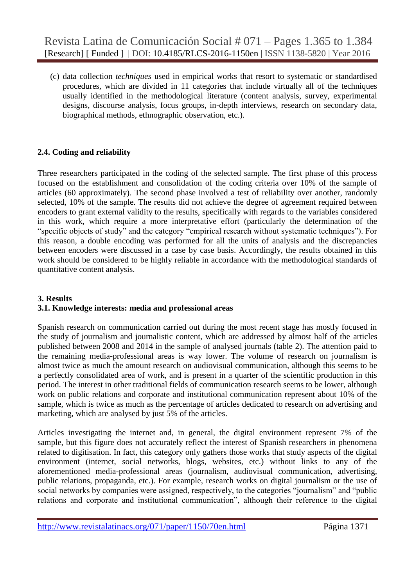(c) data collection *techniques* used in empirical works that resort to systematic or standardised procedures, which are divided in 11 categories that include virtually all of the techniques usually identified in the methodological literature (content analysis, survey, experimental designs, discourse analysis, focus groups, in-depth interviews, research on secondary data, biographical methods, ethnographic observation, etc.).

# **2.4. Coding and reliability**

Three researchers participated in the coding of the selected sample. The first phase of this process focused on the establishment and consolidation of the coding criteria over 10% of the sample of articles (60 approximately). The second phase involved a test of reliability over another, randomly selected, 10% of the sample. The results did not achieve the degree of agreement required between encoders to grant external validity to the results, specifically with regards to the variables considered in this work, which require a more interpretative effort (particularly the determination of the "specific objects of study" and the category "empirical research without systematic techniques"). For this reason, a double encoding was performed for all the units of analysis and the discrepancies between encoders were discussed in a case by case basis. Accordingly, the results obtained in this work should be considered to be highly reliable in accordance with the methodological standards of quantitative content analysis.

# **3. Results 3.1. Knowledge interests: media and professional areas**

Spanish research on communication carried out during the most recent stage has mostly focused in the study of journalism and journalistic content, which are addressed by almost half of the articles published between 2008 and 2014 in the sample of analysed journals (table 2). The attention paid to the remaining media-professional areas is way lower. The volume of research on journalism is almost twice as much the amount research on audiovisual communication, although this seems to be a perfectly consolidated area of work, and is present in a quarter of the scientific production in this period. The interest in other traditional fields of communication research seems to be lower, although work on public relations and corporate and institutional communication represent about 10% of the sample, which is twice as much as the percentage of articles dedicated to research on advertising and marketing, which are analysed by just 5% of the articles.

Articles investigating the internet and, in general, the digital environment represent 7% of the sample, but this figure does not accurately reflect the interest of Spanish researchers in phenomena related to digitisation. In fact, this category only gathers those works that study aspects of the digital environment (internet, social networks, blogs, websites, etc.) without links to any of the aforementioned media-professional areas (journalism, audiovisual communication, advertising, public relations, propaganda, etc.). For example, research works on digital journalism or the use of social networks by companies were assigned, respectively, to the categories "journalism" and "public relations and corporate and institutional communication", although their reference to the digital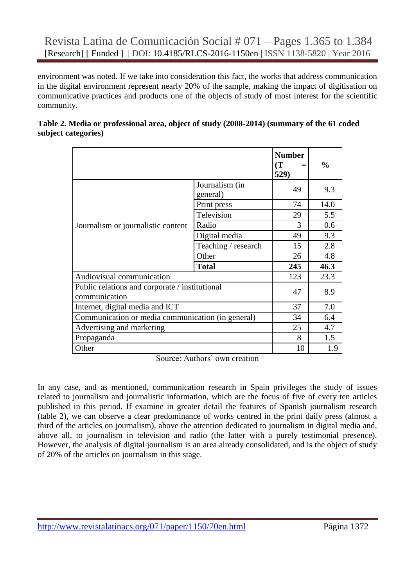environment was noted. If we take into consideration this fact, the works that address communication in the digital environment represent nearly 20% of the sample, making the impact of digitisation on communicative practices and products one of the objects of study of most interest for the scientific community.

|                                                                 |                            | <b>Number</b><br>$\mathbf T$<br>529) | $\frac{0}{0}$ |
|-----------------------------------------------------------------|----------------------------|--------------------------------------|---------------|
| Journalism or journalistic content                              | Journalism (in<br>general) | 49                                   | 9.3           |
|                                                                 | Print press                | 74                                   | 14.0          |
|                                                                 | Television                 | 29                                   | 5.5           |
|                                                                 | Radio                      | 3                                    | 0.6           |
|                                                                 | Digital media              | 49                                   | 9.3           |
|                                                                 | Teaching / research        | 15                                   | 2.8           |
|                                                                 | Other                      | 26                                   | 4.8           |
|                                                                 | <b>Total</b>               | 245                                  | 46.3          |
| Audiovisual communication                                       |                            | 123                                  | 23.3          |
| Public relations and corporate / institutional<br>communication | 47                         | 8.9                                  |               |
| Internet, digital media and ICT                                 | 37                         | 7.0                                  |               |
| Communication or media communication (in general)               | 34                         | 6.4                                  |               |
| Advertising and marketing                                       | 25                         | 4.7                                  |               |
| Propaganda                                                      | 8                          | 1.5                                  |               |
| Other                                                           |                            | 10                                   | 1.9           |

| Table 2. Media or professional area, object of study (2008-2014) (summary of the 61 coded |  |
|-------------------------------------------------------------------------------------------|--|
| subject categories)                                                                       |  |

Source: Authors' own creation

In any case, and as mentioned, communication research in Spain privileges the study of issues related to journalism and journalistic information, which are the focus of five of every ten articles published in this period. If examine in greater detail the features of Spanish journalism research (table 2), we can observe a clear predominance of works centred in the print daily press (almost a third of the articles on journalism), above the attention dedicated to journalism in digital media and, above all, to journalism in television and radio (the latter with a purely testimonial presence). However, the analysis of digital journalism is an area already consolidated, and is the object of study of 20% of the articles on journalism in this stage.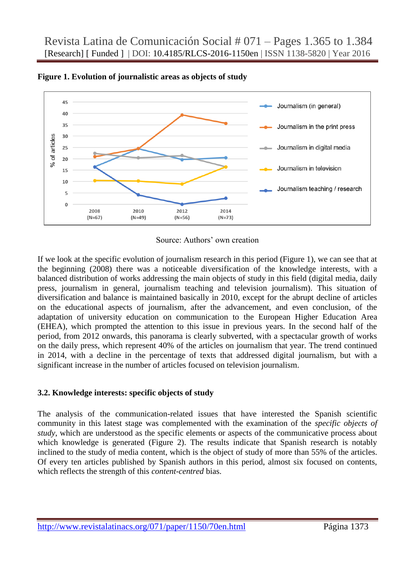

**Figure 1. Evolution of journalistic areas as objects of study**

Source: Authors' own creation

If we look at the specific evolution of journalism research in this period (Figure 1), we can see that at the beginning (2008) there was a noticeable diversification of the knowledge interests, with a balanced distribution of works addressing the main objects of study in this field (digital media, daily press, journalism in general, journalism teaching and television journalism). This situation of diversification and balance is maintained basically in 2010, except for the abrupt decline of articles on the educational aspects of journalism, after the advancement, and even conclusion, of the adaptation of university education on communication to the European Higher Education Area (EHEA), which prompted the attention to this issue in previous years. In the second half of the period, from 2012 onwards, this panorama is clearly subverted, with a spectacular growth of works on the daily press, which represent 40% of the articles on journalism that year. The trend continued in 2014, with a decline in the percentage of texts that addressed digital journalism, but with a significant increase in the number of articles focused on television journalism.

# **3.2. Knowledge interests: specific objects of study**

The analysis of the communication-related issues that have interested the Spanish scientific community in this latest stage was complemented with the examination of the *specific objects of study*, which are understood as the specific elements or aspects of the communicative process about which knowledge is generated (Figure 2). The results indicate that Spanish research is notably inclined to the study of media content, which is the object of study of more than 55% of the articles. Of every ten articles published by Spanish authors in this period, almost six focused on contents, which reflects the strength of this *content-centred* bias.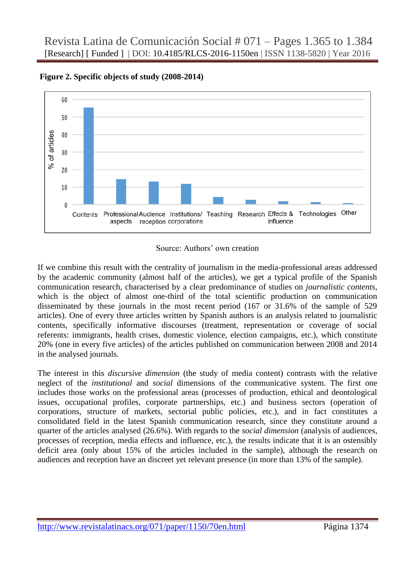

**Figure 2. Specific objects of study (2008-2014)**



If we combine this result with the centrality of journalism in the media-professional areas addressed by the academic community (almost half of the articles), we get a typical profile of the Spanish communication research, characterised by a clear predominance of studies on *journalistic contents*, which is the object of almost one-third of the total scientific production on communication disseminated by these journals in the most recent period (167 or 31.6% of the sample of 529 articles). One of every three articles written by Spanish authors is an analysis related to journalistic contents, specifically informative discourses (treatment, representation or coverage of social referents: immigrants, health crises, domestic violence, election campaigns, etc.), which constitute 20% (one in every five articles) of the articles published on communication between 2008 and 2014 in the analysed journals.

The interest in this *discursive dimension* (the study of media content) contrasts with the relative neglect of the *institutional* and *social* dimensions of the communicative system. The first one includes those works on the professional areas (processes of production, ethical and deontological issues, occupational profiles, corporate partnerships, etc.) and business sectors (operation of corporations, structure of markets, sectorial public policies, etc.), and in fact constitutes a consolidated field in the latest Spanish communication research, since they constitute around a quarter of the articles analysed (26.6%). With regards to the *social dimension* (analysis of audiences, processes of reception, media effects and influence, etc.), the results indicate that it is an ostensibly deficit area (only about 15% of the articles included in the sample), although the research on audiences and reception have an discreet yet relevant presence (in more than 13% of the sample).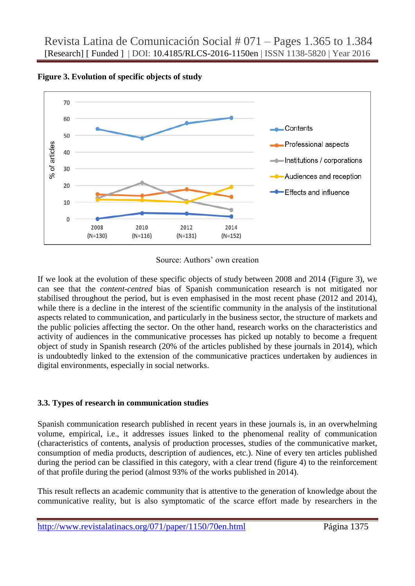

**Figure 3. Evolution of specific objects of study**

Source: Authors' own creation

If we look at the evolution of these specific objects of study between 2008 and 2014 (Figure 3), we can see that the *content-centred* bias of Spanish communication research is not mitigated nor stabilised throughout the period, but is even emphasised in the most recent phase (2012 and 2014), while there is a decline in the interest of the scientific community in the analysis of the institutional aspects related to communication, and particularly in the business sector, the structure of markets and the public policies affecting the sector. On the other hand, research works on the characteristics and activity of audiences in the communicative processes has picked up notably to become a frequent object of study in Spanish research (20% of the articles published by these journals in 2014), which is undoubtedly linked to the extension of the communicative practices undertaken by audiences in digital environments, especially in social networks.

# **3.3. Types of research in communication studies**

Spanish communication research published in recent years in these journals is, in an overwhelming volume, empirical, i.e., it addresses issues linked to the phenomenal reality of communication (characteristics of contents, analysis of production processes, studies of the communicative market, consumption of media products, description of audiences, etc.). Nine of every ten articles published during the period can be classified in this category, with a clear trend (figure 4) to the reinforcement of that profile during the period (almost 93% of the works published in 2014).

This result reflects an academic community that is attentive to the generation of knowledge about the communicative reality, but is also symptomatic of the scarce effort made by researchers in the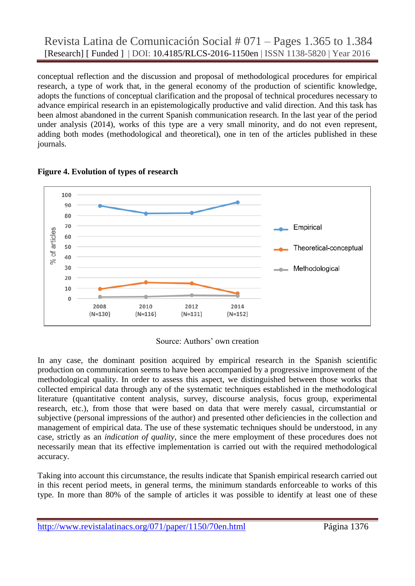conceptual reflection and the discussion and proposal of methodological procedures for empirical research, a type of work that, in the general economy of the production of scientific knowledge, adopts the functions of conceptual clarification and the proposal of technical procedures necessary to advance empirical research in an epistemologically productive and valid direction. And this task has been almost abandoned in the current Spanish communication research. In the last year of the period under analysis (2014), works of this type are a very small minority, and do not even represent, adding both modes (methodological and theoretical), one in ten of the articles published in these journals.





Source: Authors' own creation

In any case, the dominant position acquired by empirical research in the Spanish scientific production on communication seems to have been accompanied by a progressive improvement of the methodological quality. In order to assess this aspect, we distinguished between those works that collected empirical data through any of the systematic techniques established in the methodological literature (quantitative content analysis, survey, discourse analysis, focus group, experimental research, etc.), from those that were based on data that were merely casual, circumstantial or subjective (personal impressions of the author) and presented other deficiencies in the collection and management of empirical data. The use of these systematic techniques should be understood, in any case, strictly as an *indication of quality*, since the mere employment of these procedures does not necessarily mean that its effective implementation is carried out with the required methodological accuracy.

Taking into account this circumstance, the results indicate that Spanish empirical research carried out in this recent period meets, in general terms, the minimum standards enforceable to works of this type. In more than 80% of the sample of articles it was possible to identify at least one of these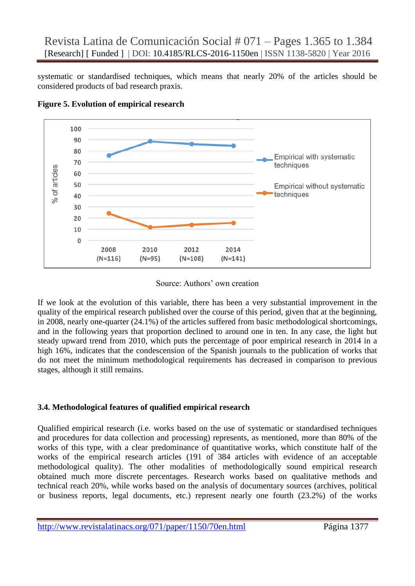systematic or standardised techniques, which means that nearly 20% of the articles should be considered products of bad research praxis.



**Figure 5. Evolution of empirical research**

#### Source: Authors' own creation

If we look at the evolution of this variable, there has been a very substantial improvement in the quality of the empirical research published over the course of this period, given that at the beginning, in 2008, nearly one-quarter (24.1%) of the articles suffered from basic methodological shortcomings, and in the following years that proportion declined to around one in ten. In any case, the light but steady upward trend from 2010, which puts the percentage of poor empirical research in 2014 in a high 16%, indicates that the condescension of the Spanish journals to the publication of works that do not meet the minimum methodological requirements has decreased in comparison to previous stages, although it still remains.

# **3.4. Methodological features of qualified empirical research**

Qualified empirical research (i.e. works based on the use of systematic or standardised techniques and procedures for data collection and processing) represents, as mentioned, more than 80% of the works of this type, with a clear predominance of quantitative works, which constitute half of the works of the empirical research articles (191 of 384 articles with evidence of an acceptable methodological quality). The other modalities of methodologically sound empirical research obtained much more discrete percentages. Research works based on qualitative methods and technical reach 20%, while works based on the analysis of documentary sources (archives, political or business reports, legal documents, etc.) represent nearly one fourth (23.2%) of the works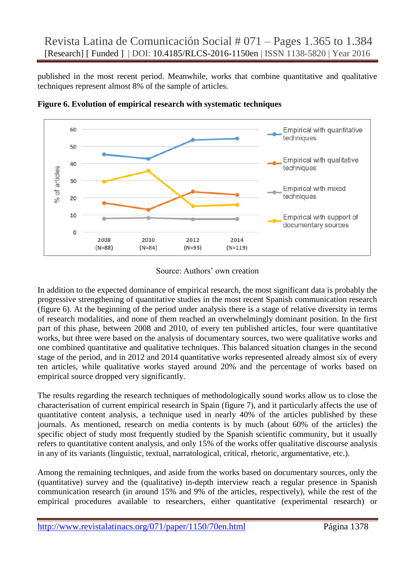published in the most recent period. Meanwhile, works that combine quantitative and qualitative techniques represent almost 8% of the sample of articles.



**Figure 6. Evolution of empirical research with systematic techniques**

Source: Authors' own creation

In addition to the expected dominance of empirical research, the most significant data is probably the progressive strengthening of quantitative studies in the most recent Spanish communication research (figure 6). At the beginning of the period under analysis there is a stage of relative diversity in terms of research modalities, and none of them reached an overwhelmingly dominant position. In the first part of this phase, between 2008 and 2010, of every ten published articles, four were quantitative works, but three were based on the analysis of documentary sources, two were qualitative works and one combined quantitative and qualitative techniques. This balanced situation changes in the second stage of the period, and in 2012 and 2014 quantitative works represented already almost six of every ten articles, while qualitative works stayed around 20% and the percentage of works based on empirical source dropped very significantly.

The results regarding the research techniques of methodologically sound works allow us to close the characterisation of current empirical research in Spain (figure 7), and it particularly affects the use of quantitative content analysis, a technique used in nearly 40% of the articles published by these journals. As mentioned, research on media contents is by much (about 60% of the articles) the specific object of study most frequently studied by the Spanish scientific community, but it usually refers to quantitative content analysis, and only 15% of the works offer qualitative discourse analysis in any of its variants (linguistic, textual, narratological, critical, rhetoric, argumentative, etc.).

Among the remaining techniques, and aside from the works based on documentary sources, only the (quantitative) survey and the (qualitative) in-depth interview reach a regular presence in Spanish communication research (in around 15% and 9% of the articles, respectively), while the rest of the empirical procedures available to researchers, either quantitative (experimental research) or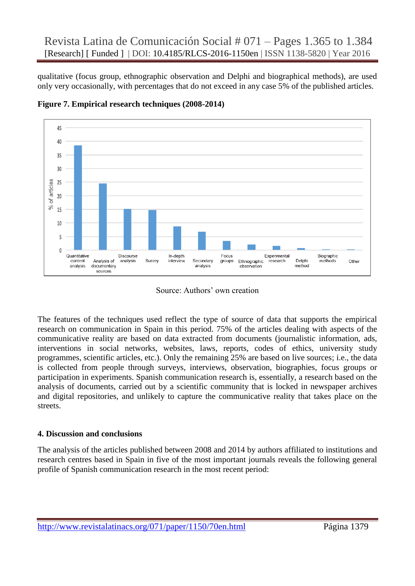qualitative (focus group, ethnographic observation and Delphi and biographical methods), are used only very occasionally, with percentages that do not exceed in any case 5% of the published articles.



**Figure 7. Empirical research techniques (2008-2014)**

Source: Authors' own creation

The features of the techniques used reflect the type of source of data that supports the empirical research on communication in Spain in this period. 75% of the articles dealing with aspects of the communicative reality are based on data extracted from documents (journalistic information, ads, interventions in social networks, websites, laws, reports, codes of ethics, university study programmes, scientific articles, etc.). Only the remaining 25% are based on live sources; i.e., the data is collected from people through surveys, interviews, observation, biographies, focus groups or participation in experiments. Spanish communication research is, essentially, a research based on the analysis of documents, carried out by a scientific community that is locked in newspaper archives and digital repositories, and unlikely to capture the communicative reality that takes place on the streets.

# **4. Discussion and conclusions**

The analysis of the articles published between 2008 and 2014 by authors affiliated to institutions and research centres based in Spain in five of the most important journals reveals the following general profile of Spanish communication research in the most recent period: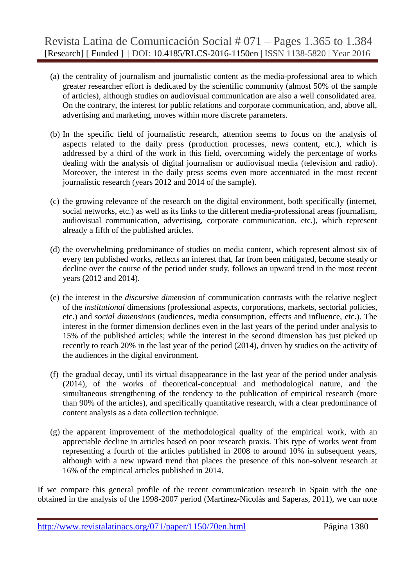- (a) the centrality of journalism and journalistic content as the media-professional area to which greater researcher effort is dedicated by the scientific community (almost 50% of the sample of articles), although studies on audiovisual communication are also a well consolidated area. On the contrary, the interest for public relations and corporate communication, and, above all, advertising and marketing, moves within more discrete parameters.
- (b) In the specific field of journalistic research, attention seems to focus on the analysis of aspects related to the daily press (production processes, news content, etc.), which is addressed by a third of the work in this field, overcoming widely the percentage of works dealing with the analysis of digital journalism or audiovisual media (television and radio). Moreover, the interest in the daily press seems even more accentuated in the most recent journalistic research (years 2012 and 2014 of the sample).
- (c) the growing relevance of the research on the digital environment, both specifically (internet, social networks, etc.) as well as its links to the different media-professional areas (journalism, audiovisual communication, advertising, corporate communication, etc.), which represent already a fifth of the published articles.
- (d) the overwhelming predominance of studies on media content, which represent almost six of every ten published works, reflects an interest that, far from been mitigated, become steady or decline over the course of the period under study, follows an upward trend in the most recent years (2012 and 2014).
- (e) the interest in the *discursive dimension* of communication contrasts with the relative neglect of the *institutional* dimensions (professional aspects, corporations, markets, sectorial policies, etc.) and *social dimensions* (audiences, media consumption, effects and influence, etc.). The interest in the former dimension declines even in the last years of the period under analysis to 15% of the published articles; while the interest in the second dimension has just picked up recently to reach 20% in the last year of the period (2014), driven by studies on the activity of the audiences in the digital environment.
- (f) the gradual decay, until its virtual disappearance in the last year of the period under analysis (2014), of the works of theoretical-conceptual and methodological nature, and the simultaneous strengthening of the tendency to the publication of empirical research (more than 90% of the articles), and specifically quantitative research, with a clear predominance of content analysis as a data collection technique.
- (g) the apparent improvement of the methodological quality of the empirical work, with an appreciable decline in articles based on poor research praxis. This type of works went from representing a fourth of the articles published in 2008 to around 10% in subsequent years, although with a new upward trend that places the presence of this non-solvent research at 16% of the empirical articles published in 2014.

If we compare this general profile of the recent communication research in Spain with the one obtained in the analysis of the 1998-2007 period (Martínez-Nicolás and Saperas, 2011), we can note

http://www.revistalatinacs.org/071/paper/1150/70en.html Página 1380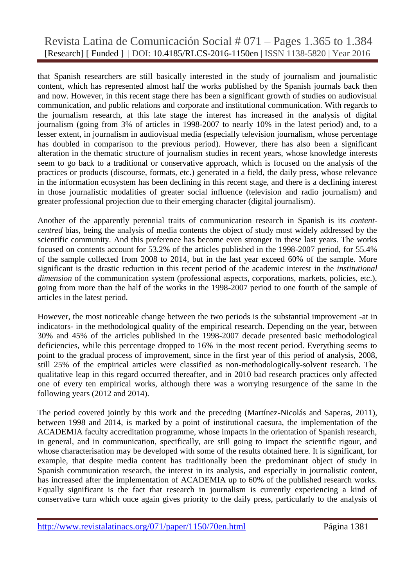# Revista Latina de Comunicación Social # 071 – Pages 1.365 to 1.384 [Research] [ Funded ] | DOI: 10.4185/RLCS-2016-1150en | ISSN 1138-5820 | Year 2016

that Spanish researchers are still basically interested in the study of journalism and journalistic content, which has represented almost half the works published by the Spanish journals back then and now. However, in this recent stage there has been a significant growth of studies on audiovisual communication, and public relations and corporate and institutional communication. With regards to the journalism research, at this late stage the interest has increased in the analysis of digital journalism (going from 3% of articles in 1998-2007 to nearly 10% in the latest period) and, to a lesser extent, in journalism in audiovisual media (especially television journalism, whose percentage has doubled in comparison to the previous period). However, there has also been a significant alteration in the thematic structure of journalism studies in recent years, whose knowledge interests seem to go back to a traditional or conservative approach, which is focused on the analysis of the practices or products (discourse, formats, etc.) generated in a field, the daily press, whose relevance in the information ecosystem has been declining in this recent stage, and there is a declining interest in those journalistic modalities of greater social influence (television and radio journalism) and greater professional projection due to their emerging character (digital journalism).

Another of the apparently perennial traits of communication research in Spanish is its *contentcentred* bias, being the analysis of media contents the object of study most widely addressed by the scientific community. And this preference has become even stronger in these last years. The works focused on contents account for 53.2% of the articles published in the 1998-2007 period, for 55.4% of the sample collected from 2008 to 2014, but in the last year exceed 60% of the sample. More significant is the drastic reduction in this recent period of the academic interest in the *institutional dimension* of the communication system (professional aspects, corporations, markets, policies, etc.), going from more than the half of the works in the 1998-2007 period to one fourth of the sample of articles in the latest period.

However, the most noticeable change between the two periods is the substantial improvement -at in indicators- in the methodological quality of the empirical research. Depending on the year, between 30% and 45% of the articles published in the 1998-2007 decade presented basic methodological deficiencies, while this percentage dropped to 16% in the most recent period. Everything seems to point to the gradual process of improvement, since in the first year of this period of analysis, 2008, still 25% of the empirical articles were classified as non-methodologically-solvent research. The qualitative leap in this regard occurred thereafter, and in 2010 bad research practices only affected one of every ten empirical works, although there was a worrying resurgence of the same in the following years (2012 and 2014).

The period covered jointly by this work and the preceding (Martínez-Nicolás and Saperas, 2011), between 1998 and 2014, is marked by a point of institutional caesura, the implementation of the ACADEMIA faculty accreditation programme, whose impacts in the orientation of Spanish research, in general, and in communication, specifically, are still going to impact the scientific rigour, and whose characterisation may be developed with some of the results obtained here. It is significant, for example, that despite media content has traditionally been the predominant object of study in Spanish communication research, the interest in its analysis, and especially in journalistic content, has increased after the implementation of ACADEMIA up to 60% of the published research works. Equally significant is the fact that research in journalism is currently experiencing a kind of conservative turn which once again gives priority to the daily press, particularly to the analysis of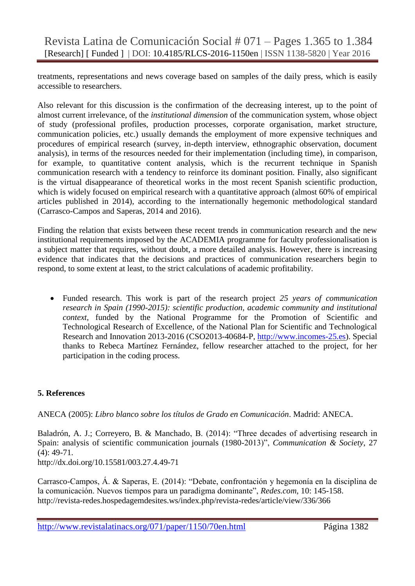treatments, representations and news coverage based on samples of the daily press, which is easily accessible to researchers.

Also relevant for this discussion is the confirmation of the decreasing interest, up to the point of almost current irrelevance, of the *institutional dimension* of the communication system, whose object of study (professional profiles, production processes, corporate organisation, market structure, communication policies, etc.) usually demands the employment of more expensive techniques and procedures of empirical research (survey, in-depth interview, ethnographic observation, document analysis), in terms of the resources needed for their implementation (including time), in comparison, for example, to quantitative content analysis, which is the recurrent technique in Spanish communication research with a tendency to reinforce its dominant position. Finally, also significant is the virtual disappearance of theoretical works in the most recent Spanish scientific production, which is widely focused on empirical research with a quantitative approach (almost 60% of empirical articles published in 2014), according to the internationally hegemonic methodological standard (Carrasco-Campos and Saperas, 2014 and 2016).

Finding the relation that exists between these recent trends in communication research and the new institutional requirements imposed by the ACADEMIA programme for faculty professionalisation is a subject matter that requires, without doubt, a more detailed analysis. However, there is increasing evidence that indicates that the decisions and practices of communication researchers begin to respond, to some extent at least, to the strict calculations of academic profitability.

 Funded research. This work is part of the research project *25 years of communication research in Spain (1990-2015): scientific production, academic community and institutional context*, funded by the National Programme for the Promotion of Scientific and Technological Research of Excellence, of the National Plan for Scientific and Technological Research and Innovation 2013-2016 (CSO2013-40684-P, [http://www.incomes-25.es\)](http://www.incomes-25.es/). Special thanks to Rebeca Martínez Fernández, fellow researcher attached to the project, for her participation in the coding process.

# **5. References**

ANECA (2005): *Libro blanco sobre los títulos de Grado en Comunicación*. Madrid: ANECA.

Baladrón, A. J.; Correyero, B. & Manchado, B. (2014): "Three decades of advertising research in Spain: analysis of scientific communication journals (1980-2013)", *Communication & Society*, 27 (4): 49-71.

<http://dx.doi.org/10.15581/003.27.4.49-71>

Carrasco-Campos, Á. & Saperas, E. (2014): "Debate, confrontación y hegemonía en la disciplina de la comunicación. Nuevos tiempos para un paradigma dominante", *Redes.com*, 10: 145-158. <http://revista-redes.hospedagemdesites.ws/index.php/revista-redes/article/view/336/366>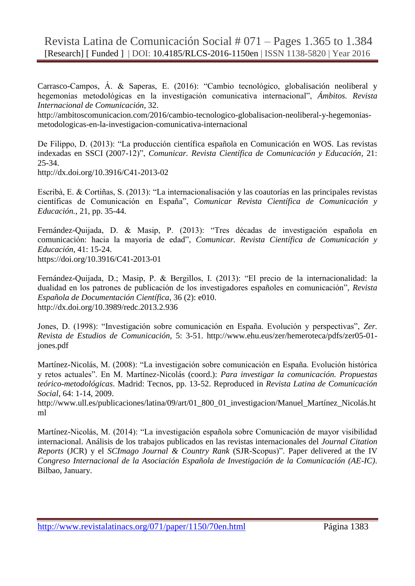Carrasco-Campos, Á. & Saperas, E. (2016): "Cambio tecnológico, globalisación neoliberal y hegemonías metodológicas en la investigación comunicativa internacional", *Ámbitos. Revista Internacional de Comunicación*, 32.

[http://ambitoscomunicacion.com/2016/cambio-tecnologico-globalisacion-neoliberal-y-hegemonias](http://ambitoscomunicacion.com/2016/cambio-tecnologico-globalizacion-neoliberal-y-hegemonias-metodologicas-en-la-investigacion-comunicativa-internacional/)[metodologicas-en-la-investigacion-comunicativa-internacional](http://ambitoscomunicacion.com/2016/cambio-tecnologico-globalizacion-neoliberal-y-hegemonias-metodologicas-en-la-investigacion-comunicativa-internacional/)

De Filippo, D. (2013): "La producción científica española en Comunicación en WOS. Las revistas indexadas en SSCI (2007-12)", *Comunicar. Revista Científica de Comunicación y Educación*, 21: 25-34.

http://dx.doi.org/10.3916/C41-2013-02

Escribà, E. & Cortiñas, S. (2013): "La internacionalisación y las coautorías en las principales revistas científicas de Comunicación en España", *Comunicar Revista Científica de Comunicación y Educación.*, 21, pp. 35-44.

Fernández-Quijada, D. & Masip, P. (2013): "Tres décadas de investigación española en comunicación: hacia la mayoría de edad", *Comunicar. Revista Científica de Comunicación y Educación*, 41: 15-24. <https://doi.org/10.3916/C41-2013-01>

Fernández-Quijada, D.; Masip, P. & Bergillos, I. (2013): "El precio de la internacionalidad: la dualidad en los patrones de publicación de los investigadores españoles en comunicación", *Revista Española de Documentación Científica*, 36 (2): e010. <http://dx.doi.org/10.3989/redc.2013.2.936>

Jones, D. (1998): "Investigación sobre comunicación en España. Evolución y perspectivas", *Zer. Revista de Estudios de Comunicación*, 5: 3-51. http://www.ehu.eus/zer/hemeroteca/pdfs/zer05-01 jones.pdf

Martínez-Nicolás, M. (2008): "La investigación sobre comunicación en España. Evolución histórica y retos actuales". En M. Martínez-Nicolás (coord.): *Para investigar la comunicación. Propuestas teórico-metodológicas*. Madrid: Tecnos, pp. 13-52. Reproduced in *Revista Latina de Comunicación Social*, 64: 1-14, 2009.

[http://www.ull.es/publicaciones/latina/09/art/01\\_800\\_01\\_investigacion/Manuel\\_Martínez\\_Nicolás.ht](http://www.ull.es/publicaciones/latina/09/art/01_800_01_investigacion/Manuel_Martinez_Nicolas.html) [ml](http://www.ull.es/publicaciones/latina/09/art/01_800_01_investigacion/Manuel_Martinez_Nicolas.html)

Martínez-Nicolás, M. (2014): "La investigación española sobre Comunicación de mayor visibilidad internacional. Análisis de los trabajos publicados en las revistas internacionales del *Journal Citation Reports* (JCR) y el *SCImago Journal & Country Rank* (SJR-Scopus)". Paper delivered at the IV *Congreso Internacional de la Asociación Española de Investigación de la Comunicación (AE-IC)*. Bilbao, January.